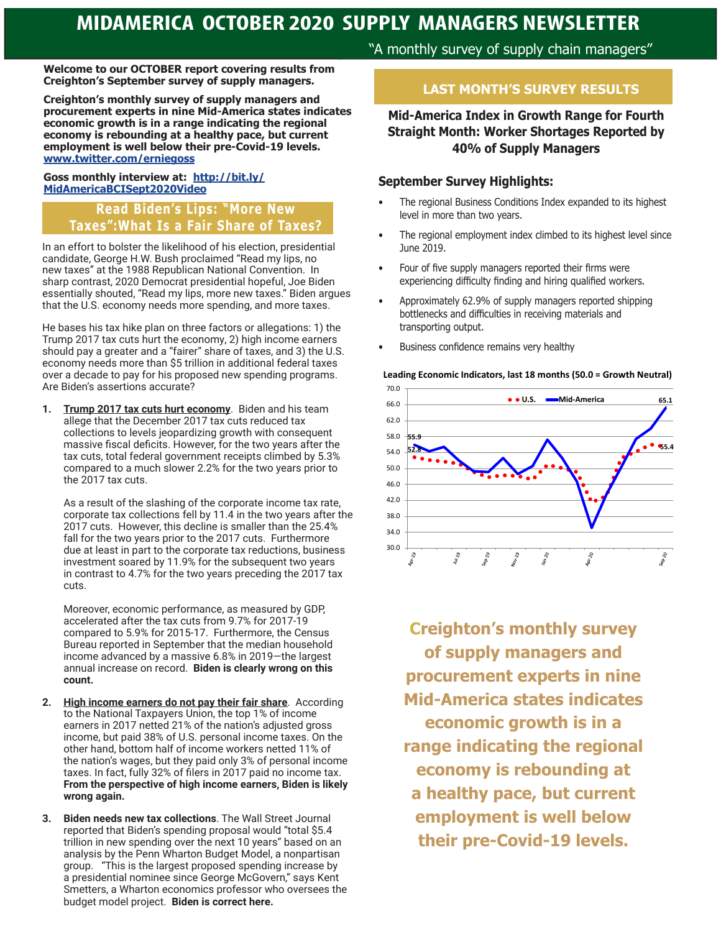**Welcome to our OCTOBER report covering results from Creighton's September survey of supply managers.**

**Creighton's monthly survey of supply managers and procurement experts in nine Mid-America states indicates economic growth is in a range indicating the regional economy is rebounding at a healthy pace, but current employment is well below their pre-Covid-19 levels. www.twitter.com/erniegoss**

#### **Goss monthly interview at: http://bit.ly/ MidAmericaBCISept2020Video**

## **Read Biden's Lips: "More New Taxes":What Is a Fair Share of Taxes?**

In an effort to bolster the likelihood of his election, presidential candidate, George H.W. Bush proclaimed "Read my lips, no new taxes" at the 1988 Republican National Convention. In sharp contrast, 2020 Democrat presidential hopeful, Joe Biden essentially shouted, "Read my lips, more new taxes." Biden argues that the U.S. economy needs more spending, and more taxes.

He bases his tax hike plan on three factors or allegations: 1) the Trump 2017 tax cuts hurt the economy, 2) high income earners should pay a greater and a "fairer" share of taxes, and 3) the U.S. economy needs more than \$5 trillion in additional federal taxes over a decade to pay for his proposed new spending programs. Are Biden's assertions accurate?

**1. Trump 2017 tax cuts hurt economy**. Biden and his team allege that the December 2017 tax cuts reduced tax collections to levels jeopardizing growth with consequent massive fiscal deficits. However, for the two years after the tax cuts, total federal government receipts climbed by 5.3% compared to a much slower 2.2% for the two years prior to the 2017 tax cuts.

As a result of the slashing of the corporate income tax rate, corporate tax collections fell by 11.4 in the two years after the 2017 cuts. However, this decline is smaller than the 25.4% fall for the two years prior to the 2017 cuts. Furthermore due at least in part to the corporate tax reductions, business investment soared by 11.9% for the subsequent two years in contrast to 4.7% for the two years preceding the 2017 tax cuts.

Moreover, economic performance, as measured by GDP, accelerated after the tax cuts from 9.7% for 2017-19 compared to 5.9% for 2015-17. Furthermore, the Census Bureau reported in September that the median household income advanced by a massive 6.8% in 2019—the largest annual increase on record. **Biden is clearly wrong on this count.** 

- **2. High income earners do not pay their fair share**. According to the National Taxpayers Union, the top 1% of income earners in 2017 netted 21% of the nation's adjusted gross income, but paid 38% of U.S. personal income taxes. On the other hand, bottom half of income workers netted 11% of the nation's wages, but they paid only 3% of personal income taxes. In fact, fully 32% of filers in 2017 paid no income tax. **From the perspective of high income earners, Biden is likely wrong again.**
- **3. Biden needs new tax collections**. The Wall Street Journal reported that Biden's spending proposal would "total \$5.4 trillion in new spending over the next 10 years" based on an analysis by the Penn Wharton Budget Model, a nonpartisan group. "This is the largest proposed spending increase by a presidential nominee since George McGovern," says Kent Smetters, a Wharton economics professor who oversees the budget model project. **Biden is correct here.**

"A monthly survey of supply chain managers"

# **LAST MONTH'S SURVEY RESULTS**

### **Mid-America Index in Growth Range for Fourth Straight Month: Worker Shortages Reported by 40% of Supply Managers**

#### **September Survey Highlights:**

- The regional Business Conditions Index expanded to its highest level in more than two years.
- The regional employment index climbed to its highest level since June 2019.
- Four of five supply managers reported their firms were experiencing difficulty finding and hiring qualified workers.
- Approximately 62.9% of supply managers reported shipping bottlenecks and difficulties in receiving materials and transporting output.
- Business confidence remains very healthy



**Creighton's monthly survey of supply managers and procurement experts in nine Mid-America states indicates economic growth is in a range indicating the regional economy is rebounding at a healthy pace, but current employment is well below their pre-Covid-19 levels.**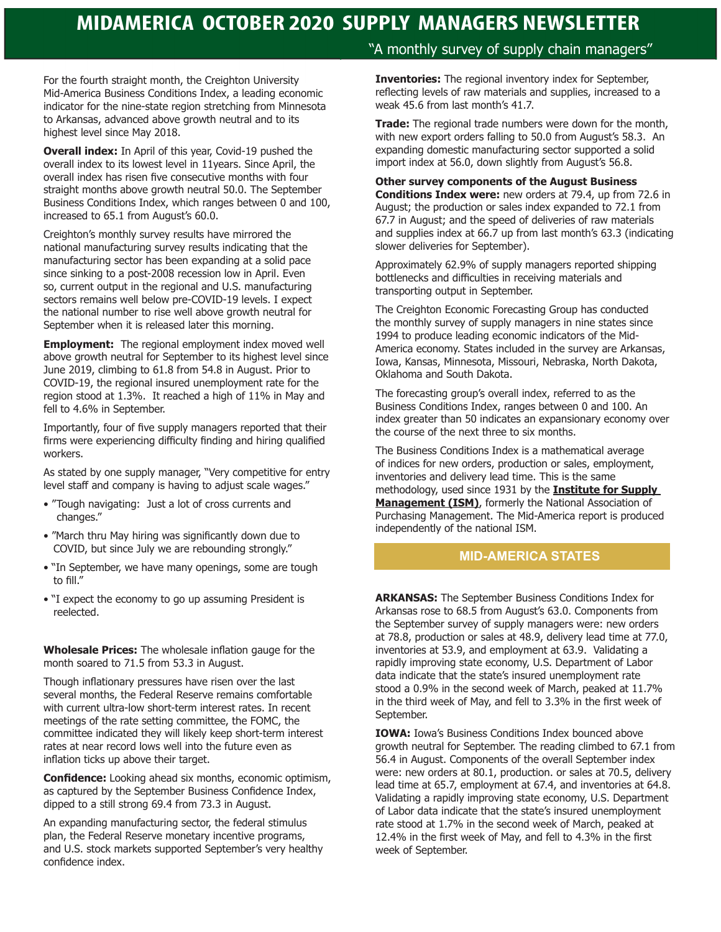For the fourth straight month, the Creighton University Mid-America Business Conditions Index, a leading economic indicator for the nine-state region stretching from Minnesota to Arkansas, advanced above growth neutral and to its highest level since May 2018.

**Overall index:** In April of this year, Covid-19 pushed the overall index to its lowest level in 11years. Since April, the overall index has risen five consecutive months with four straight months above growth neutral 50.0. The September Business Conditions Index, which ranges between 0 and 100, increased to 65.1 from August's 60.0.

Creighton's monthly survey results have mirrored the national manufacturing survey results indicating that the manufacturing sector has been expanding at a solid pace since sinking to a post-2008 recession low in April. Even so, current output in the regional and U.S. manufacturing sectors remains well below pre-COVID-19 levels. I expect the national number to rise well above growth neutral for September when it is released later this morning.

**Employment:** The regional employment index moved well above growth neutral for September to its highest level since June 2019, climbing to 61.8 from 54.8 in August. Prior to COVID-19, the regional insured unemployment rate for the region stood at 1.3%. It reached a high of 11% in May and fell to 4.6% in September.

Importantly, four of five supply managers reported that their firms were experiencing difficulty finding and hiring qualified workers.

As stated by one supply manager, "Very competitive for entry level staff and company is having to adjust scale wages."

- "Tough navigating: Just a lot of cross currents and changes."
- "March thru May hiring was significantly down due to COVID, but since July we are rebounding strongly."
- "In September, we have many openings, some are tough to fill."
- "I expect the economy to go up assuming President is reelected.

**Wholesale Prices:** The wholesale inflation gauge for the month soared to 71.5 from 53.3 in August.

Though inflationary pressures have risen over the last several months, the Federal Reserve remains comfortable with current ultra-low short-term interest rates. In recent meetings of the rate setting committee, the FOMC, the committee indicated they will likely keep short-term interest rates at near record lows well into the future even as inflation ticks up above their target.

**Confidence:** Looking ahead six months, economic optimism, as captured by the September Business Confidence Index, dipped to a still strong 69.4 from 73.3 in August.

An expanding manufacturing sector, the federal stimulus plan, the Federal Reserve monetary incentive programs, and U.S. stock markets supported September's very healthy confidence index.

## "A monthly survey of supply chain managers"

**Inventories:** The regional inventory index for September, reflecting levels of raw materials and supplies, increased to a weak 45.6 from last month's 41.7.

**Trade:** The regional trade numbers were down for the month, with new export orders falling to 50.0 from August's 58.3. An expanding domestic manufacturing sector supported a solid import index at 56.0, down slightly from August's 56.8.

#### **Other survey components of the August Business Conditions Index were:** new orders at 79.4, up from 72.6 in

August; the production or sales index expanded to 72.1 from 67.7 in August; and the speed of deliveries of raw materials and supplies index at 66.7 up from last month's 63.3 (indicating slower deliveries for September).

Approximately 62.9% of supply managers reported shipping bottlenecks and difficulties in receiving materials and transporting output in September.

The Creighton Economic Forecasting Group has conducted the monthly survey of supply managers in nine states since 1994 to produce leading economic indicators of the Mid-America economy. States included in the survey are Arkansas, Iowa, Kansas, Minnesota, Missouri, Nebraska, North Dakota, Oklahoma and South Dakota.

The forecasting group's overall index, referred to as the Business Conditions Index, ranges between 0 and 100. An index greater than 50 indicates an expansionary economy over the course of the next three to six months.

The Business Conditions Index is a mathematical average of indices for new orders, production or sales, employment, inventories and delivery lead time. This is the same methodology, used since 1931 by the **Institute for Supply Management (ISM)**, formerly the National Association of Purchasing Management. The Mid-America report is produced independently of the national ISM.

#### **MID-AMERICA STATES**

**ARKANSAS:** The September Business Conditions Index for Arkansas rose to 68.5 from August's 63.0. Components from the September survey of supply managers were: new orders at 78.8, production or sales at 48.9, delivery lead time at 77.0, inventories at 53.9, and employment at 63.9. Validating a rapidly improving state economy, U.S. Department of Labor data indicate that the state's insured unemployment rate stood a 0.9% in the second week of March, peaked at 11.7% in the third week of May, and fell to 3.3% in the first week of September.

**IOWA:** Iowa's Business Conditions Index bounced above growth neutral for September. The reading climbed to 67.1 from 56.4 in August. Components of the overall September index were: new orders at 80.1, production. or sales at 70.5, delivery lead time at 65.7, employment at 67.4, and inventories at 64.8. Validating a rapidly improving state economy, U.S. Department of Labor data indicate that the state's insured unemployment rate stood at 1.7% in the second week of March, peaked at 12.4% in the first week of May, and fell to 4.3% in the first week of September.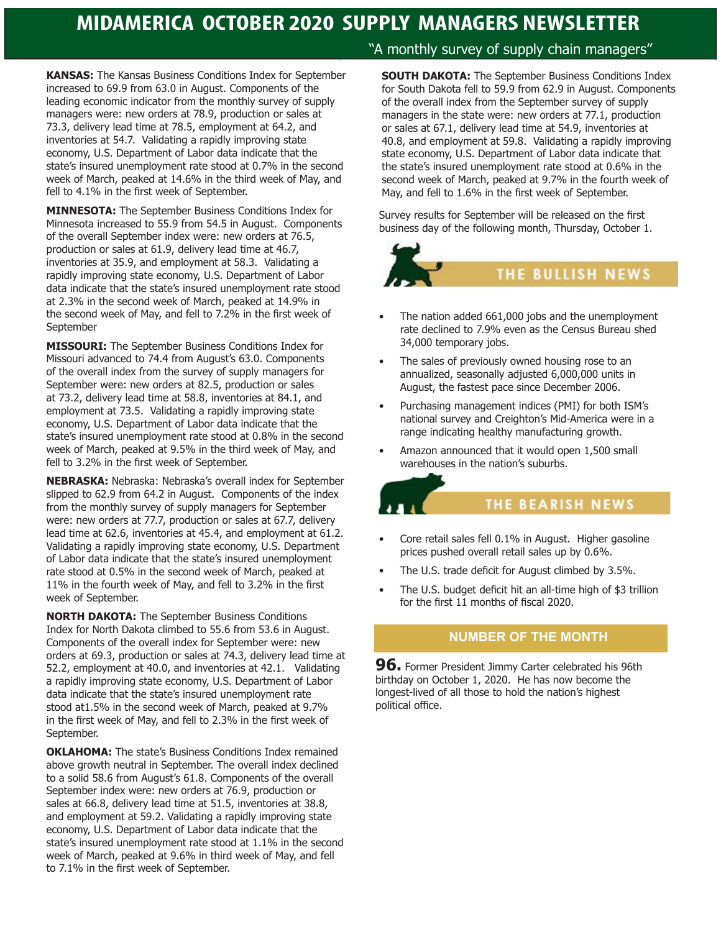**KANSAS:** The Kansas Business Conditions Index for September increased to 69.9 from 63.0 in August. Components of the leading economic indicator from the monthly survey of supply managers were: new orders at 78.9, production or sales at 73.3, delivery lead time at 78.5, employment at 64.2, and inventories at 54.7. Validating a rapidly improving state economy, U.S. Department of Labor data indicate that the state's insured unemployment rate stood at 0.7% in the second week of March, peaked at 14.6% in the third week of May, and fell to 4.1% in the first week of September.

**MINNESOTA:** The September Business Conditions Index for Minnesota increased to 55.9 from 54.5 in August. Components of the overall September index were: new orders at 76.5, production or sales at 61.9, delivery lead time at 46.7, inventories at 35.9, and employment at 58.3. Validating a rapidly improving state economy, U.S. Department of Labor data indicate that the state's insured unemployment rate stood at 2.3% in the second week of March, peaked at 14.9% in the second week of May, and fell to 7.2% in the first week of September

**MISSOURI:** The September Business Conditions Index for Missouri advanced to 74.4 from August's 63.0. Components of the overall index from the survey of supply managers for September were: new orders at 82.5, production or sales at 73.2, delivery lead time at 58.8, inventories at 84.1, and employment at 73.5. Validating a rapidly improving state economy, U.S. Department of Labor data indicate that the state's insured unemployment rate stood at 0.8% in the second week of March, peaked at 9.5% in the third week of May, and fell to 3.2% in the first week of September.

**NEBRASKA:** Nebraska: Nebraska's overall index for September slipped to 62.9 from 64.2 in August. Components of the index from the monthly survey of supply managers for September were: new orders at 77.7, production or sales at 67.7, delivery lead time at 62.6, inventories at 45.4, and employment at 61.2. Validating a rapidly improving state economy, U.S. Department of Labor data indicate that the state's insured unemployment rate stood at 0.5% in the second week of March, peaked at 11% in the fourth week of May, and fell to 3.2% in the first week of September.

**NORTH DAKOTA:** The September Business Conditions Index for North Dakota climbed to 55.6 from 53.6 in August. Components of the overall index for September were: new orders at 69.3, production or sales at 74.3, delivery lead time at 52.2, employment at 40.0, and inventories at 42.1. Validating a rapidly improving state economy, U.S. Department of Labor data indicate that the state's insured unemployment rate stood at1.5% in the second week of March, peaked at 9.7% in the first week of May, and fell to 2.3% in the first week of September.

**OKLAHOMA:** The state's Business Conditions Index remained above growth neutral in September. The overall index declined to a solid 58.6 from August's 61.8. Components of the overall September index were: new orders at 76.9, production or sales at 66.8, delivery lead time at 51.5, inventories at 38.8, and employment at 59.2. Validating a rapidly improving state economy, U.S. Department of Labor data indicate that the state's insured unemployment rate stood at 1.1% in the second week of March, peaked at 9.6% in third week of May, and fell to 7.1% in the first week of September.

### "A monthly survey of supply chain managers"

**SOUTH DAKOTA:** The September Business Conditions Index for South Dakota fell to 59.9 from 62.9 in August. Components of the overall index from the September survey of supply managers in the state were: new orders at 77.1, production or sales at 67.1, delivery lead time at 54.9, inventories at 40.8, and employment at 59.8. Validating a rapidly improving state economy, U.S. Department of Labor data indicate that the state's insured unemployment rate stood at 0.6% in the second week of March, peaked at 9.7% in the fourth week of May, and fell to 1.6% in the first week of September.

Survey results for September will be released on the first business day of the following month, Thursday, October 1.



- The nation added 661,000 jobs and the unemployment rate declined to 7.9% even as the Census Bureau shed 34,000 temporary jobs.
- The sales of previously owned housing rose to an annualized, seasonally adjusted 6,000,000 units in August, the fastest pace since December 2006.
- Purchasing management indices (PMI) for both ISM's national survey and Creighton's Mid-America were in a range indicating healthy manufacturing growth.
- Amazon announced that it would open 1,500 small warehouses in the nation's suburbs.

### THE BEARISH NEWS

- Core retail sales fell 0.1% in August. Higher gasoline prices pushed overall retail sales up by 0.6%.
- The U.S. trade deficit for August climbed by 3.5%.
- The U.S. budget deficit hit an all-time high of \$3 trillion for the first 11 months of fiscal 2020.

### **NUMBER OF THE MONTH**

**96.** Former President Jimmy Carter celebrated his 96th birthday on October 1, 2020. He has now become the longest-lived of all those to hold the nation's highest political office.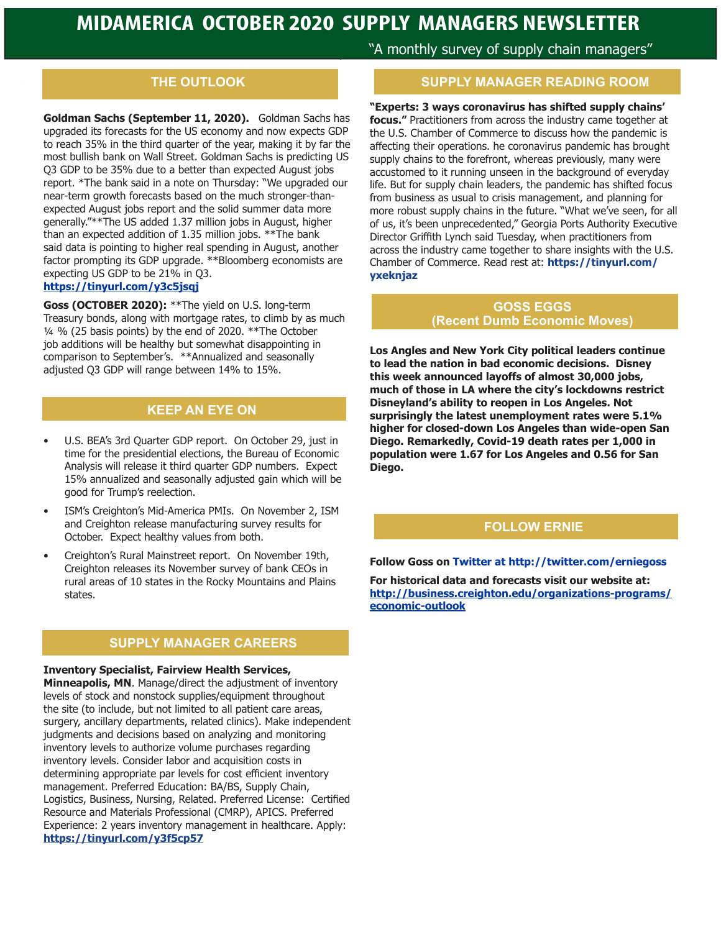## **THE OUTLOOK**

**Goldman Sachs (September 11, 2020).** Goldman Sachs has upgraded its forecasts for the US economy and now expects GDP to reach 35% in the third quarter of the year, making it by far the most bullish bank on Wall Street. Goldman Sachs is predicting US Q3 GDP to be 35% due to a better than expected August jobs report. \*The bank said in a note on Thursday: "We upgraded our near-term growth forecasts based on the much stronger-thanexpected August jobs report and the solid summer data more generally."\*\*The US added 1.37 million jobs in August, higher than an expected addition of 1.35 million jobs. \*\*The bank said data is pointing to higher real spending in August, another factor prompting its GDP upgrade. \*\*Bloomberg economists are expecting US GDP to be 21% in Q3.

### **https://tinyurl.com/y3c5jsqj**

**Goss (OCTOBER 2020):** \*\*The yield on U.S. long-term Treasury bonds, along with mortgage rates, to climb by as much ¼ % (25 basis points) by the end of 2020. \*\*The October job additions will be healthy but somewhat disappointing in comparison to September's. \*\*Annualized and seasonally adjusted Q3 GDP will range between 14% to 15%.

### **KEEP AN EYE ON**

- U.S. BEA's 3rd Quarter GDP report. On October 29, just in time for the presidential elections, the Bureau of Economic Analysis will release it third quarter GDP numbers. Expect 15% annualized and seasonally adjusted gain which will be good for Trump's reelection.
- ISM's Creighton's Mid-America PMIs. On November 2, ISM and Creighton release manufacturing survey results for October. Expect healthy values from both.
- Creighton's Rural Mainstreet report. On November 19th, Creighton releases its November survey of bank CEOs in rural areas of 10 states in the Rocky Mountains and Plains states.

#### **SUPPLY MANAGER CAREERS**

**Inventory Specialist, Fairview Health Services,** 

**Minneapolis, MN**. Manage/direct the adjustment of inventory levels of stock and nonstock supplies/equipment throughout the site (to include, but not limited to all patient care areas, surgery, ancillary departments, related clinics). Make independent judgments and decisions based on analyzing and monitoring inventory levels to authorize volume purchases regarding inventory levels. Consider labor and acquisition costs in determining appropriate par levels for cost efficient inventory management. Preferred Education: BA/BS, Supply Chain, Logistics, Business, Nursing, Related. Preferred License: Certified Resource and Materials Professional (CMRP), APICS. Preferred Experience: 2 years inventory management in healthcare. Apply: **https://tinyurl.com/y3f5cp57**

"A monthly survey of supply chain managers"

#### **SUPPLY MANAGER READING ROOM**

**"Experts: 3 ways coronavirus has shifted supply chains' focus."** Practitioners from across the industry came together at the U.S. Chamber of Commerce to discuss how the pandemic is affecting their operations. he coronavirus pandemic has brought supply chains to the forefront, whereas previously, many were accustomed to it running unseen in the background of everyday life. But for supply chain leaders, the pandemic has shifted focus from business as usual to crisis management, and planning for more robust supply chains in the future. "What we've seen, for all of us, it's been unprecedented," Georgia Ports Authority Executive Director Griffith Lynch said Tuesday, when practitioners from across the industry came together to share insights with the U.S. Chamber of Commerce. Read rest at: **https://tinyurl.com/ yxeknjaz**

#### **GOSS EGGS (Recent Dumb Economic Moves)**

**Los Angles and New York City political leaders continue to lead the nation in bad economic decisions. Disney this week announced layoffs of almost 30,000 jobs, much of those in LA where the city's lockdowns restrict Disneyland's ability to reopen in Los Angeles. Not surprisingly the latest unemployment rates were 5.1% higher for closed-down Los Angeles than wide-open San Diego. Remarkedly, Covid-19 death rates per 1,000 in population were 1.67 for Los Angeles and 0.56 for San Diego.**

#### **FOLLOW ERNIE**

**Follow Goss on Twitter at http://twitter.com/erniegoss**

**For historical data and forecasts visit our website at: http://business.creighton.edu/organizations-programs/ economic-outlook**